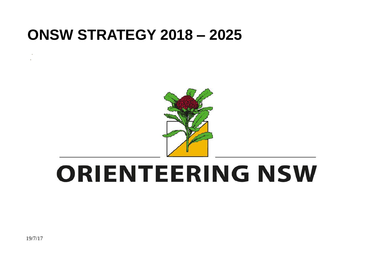# **ONSW STRATEGY 2018 – 2025**



# **ORIENTEERING NSW**

19/7/17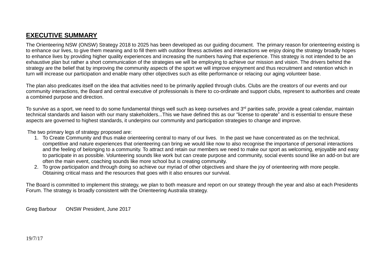### **EXECUTIVE SUMMARY**

The Orienteering NSW (ONSW) Strategy 2018 to 2025 has been developed as our guiding document. The primary reason for orienteering existing is to enhance our lives, to give them meaning and to fill them with outdoor fitness activities and interactions we enjoy doing the strategy broadly hopes to enhance lives by providing higher quality experiences and increasing the numbers having that experience. This strategy is not intended to be an exhaustive plan but rather a short communication of the strategies we will be employing to achieve our mission and vision. The drivers behind the strategy are the belief that by improving the community aspects of the sport we will improve enjoyment and thus recruitment and retention which in turn will increase our participation and enable many other objectives such as elite performance or relacing our aging volunteer base.

The plan also predicates itself on the idea that activities need to be primarily applied through clubs. Clubs are the creators of our events and our community interactions, the Board and central executive of professionals is there to co-ordinate and support clubs, represent to authorities and create a combined purpose and direction.

To survive as a sport, we need to do some fundamental things well such as keep ourselves and 3<sup>rd</sup> parities safe, provide a great calendar, maintain technical standards and liaison with our many stakeholders...This we have defined this as our "license to operate" and is essential to ensure these aspects are governed to highest standards, it underpins our community and participation strategies to change and improve.

The two primary legs of strategy proposed are:

- 1. To Create Community and thus make orienteering central to many of our lives. In the past we have concentrated as on the technical, competitive and nature experiences that orienteering can bring we would like now to also recognise the importance of personal interactions and the feeling of belonging to a community. To attract and retain our members we need to make our sport as welcoming, enjoyable and easy to participate in as possible. Volunteering sounds like work but can create purpose and community, social events sound like an add-on but are often the main event, coaching sounds like more school but is creating community.
- 2. To grow participation and through doing so achieve our myriad of other objectives and share the joy of orienteering with more people. Obtaining critical mass and the resources that goes with it also ensures our survival.

The Board is committed to implement this strategy, we plan to both measure and report on our strategy through the year and also at each Presidents Forum. The strategy is broadly consistent with the Orienteering Australia strategy.

Greg Barbour ONSW President, June 2017

19/7/17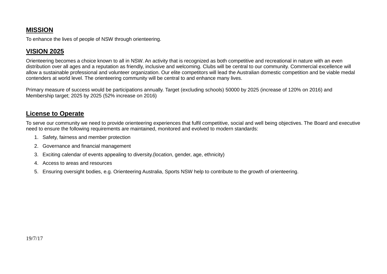# **MISSION**

To enhance the lives of people of NSW through orienteering.

# **VISION 2025**

Orienteering becomes a choice known to all in NSW. An activity that is recognized as both competitive and recreational in nature with an even distribution over all ages and a reputation as friendly, inclusive and welcoming. Clubs will be central to our community. Commercial excellence will allow a sustainable professional and volunteer organization. Our elite competitors will lead the Australian domestic competition and be viable medal contenders at world level. The orienteering community will be central to and enhance many lives.

Primary measure of success would be participations annually. Target (excluding schools) 50000 by 2025 (increase of 120% on 2016) and Membership target; 2025 by 2025 (52% increase on 2016)

#### **License to Operate**

To serve our community we need to provide orienteering experiences that fulfil competitive, social and well being objectives. The Board and executive need to ensure the following requirements are maintained, monitored and evolved to modern standards:

- 1. Safety, fairness and member protection
- 2. Governance and financial management
- 3. Exciting calendar of events appealing to diversity.(location, gender, age, ethnicity)
- 4. Access to areas and resources
- 5. Ensuring oversight bodies, e.g. Orienteering Australia, Sports NSW help to contribute to the growth of orienteering.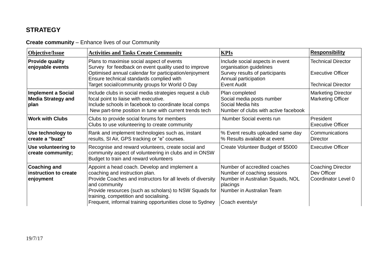# **STRATEGY**

#### **Create community** – Enhance lives of our Community

| <b>Objective/Issue</b>                                         | <b>Activities and Tasks Create Community</b>                                                                                                                                                                                                                                                                                     | <b>KPIs</b>                                                                                                                                                 | <b>Responsibility</b>                                                              |
|----------------------------------------------------------------|----------------------------------------------------------------------------------------------------------------------------------------------------------------------------------------------------------------------------------------------------------------------------------------------------------------------------------|-------------------------------------------------------------------------------------------------------------------------------------------------------------|------------------------------------------------------------------------------------|
| <b>Provide quality</b><br>enjoyable events                     | Plans to maximise social aspect of events<br>Survey for feedback on event quality used to improve<br>Optimised annual calendar for participation/enjoyment<br>Ensure technical standards complied with<br>Target social/community groups for World O Day                                                                         | Include social aspects in event<br>organisation guidelines<br>Survey results of participants<br>Annual participation<br>Event Audit                         | <b>Technical Director</b><br><b>Executive Officer</b><br><b>Technical Director</b> |
| <b>Implement a Social</b><br><b>Media Strategy and</b><br>plan | Include clubs in social media strategies request a club<br>focal point to liaise with executive.<br>Include schools in facebook to coordinate local comps<br>New part-time position in tune with current trends tech                                                                                                             | Plan completed<br>Social media posts number<br>Social Media hits<br>Number of clubs with active facebook                                                    | <b>Marketing Director</b><br><b>Marketing Officer</b>                              |
| <b>Work with Clubs</b>                                         | Clubs to provide social forums for members<br>Clubs to use volunteering to create community                                                                                                                                                                                                                                      | Number Social events run                                                                                                                                    | President<br><b>Executive Officer</b>                                              |
| Use technology to<br>create a "buzz"                           | Rank and implement technologies such as, instant<br>results, SI Air, GPS tracking or "e" courses.                                                                                                                                                                                                                                | % Event results uploaded same day<br>% Results available at event                                                                                           | Communications<br><b>Director</b>                                                  |
| Use volunteering to<br>create community;                       | Recognise and reward volunteers, create social and<br>community aspect of volunteering in clubs and in ONSW<br>Budget to train and reward volunteers                                                                                                                                                                             | Create Volunteer Budget of \$5000                                                                                                                           | <b>Executive Officer</b>                                                           |
| <b>Coaching and</b><br>instruction to create<br>enjoyment      | Appoint a head coach. Develop and implement a<br>coaching and instruction plan.<br>Provide Coaches and instructors for all levels of diversity<br>and community<br>Provide resources (such as scholars) to NSW Squads for<br>training, competition and socialising.<br>Frequent, informal training opportunities close to Sydney | Number of accredited coaches<br>Number of coaching sessions<br>Number in Australian Squads, NOL<br>placings<br>Number in Australian Team<br>Coach events/yr | <b>Coaching Director</b><br>Dev Officer<br>Coordinator Level 0                     |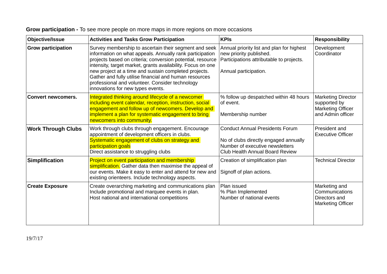| Objective/Issue           | <b>Activities and Tasks Grow Participation</b>                                                                                                                                                                                                                                                                                                                                                                                                            | <b>KPIs</b>                                                                                                                                                  | <b>Responsibility</b>                                                                      |
|---------------------------|-----------------------------------------------------------------------------------------------------------------------------------------------------------------------------------------------------------------------------------------------------------------------------------------------------------------------------------------------------------------------------------------------------------------------------------------------------------|--------------------------------------------------------------------------------------------------------------------------------------------------------------|--------------------------------------------------------------------------------------------|
| <b>Grow participation</b> | Survey membership to ascertain their segment and seek<br>information on what appeals. Annually rank participation<br>projects based on criteria; conversion potential, resource<br>intensity, target market, grants availability. Focus on one<br>new project at a time and sustain completed projects.<br>Gather and fully utilise financial and human resources<br>professional and volunteer. Consider technology<br>innovations for new types events. | Annual priority list and plan for highest<br>new priority published.<br>Participations attributable to projects.<br>Annual participation.                    | Development<br>Coordinator                                                                 |
| <b>Convert newcomers.</b> | Integrated thinking around lifecycle of a newcomer<br>including event calendar, reception, instruction, social<br>engagement and follow up of newcomers. Develop and<br>implement a plan for systematic engagement to bring<br>newcomers into community.                                                                                                                                                                                                  | % follow up despatched within 48 hours<br>of event.<br>Membership number                                                                                     | <b>Marketing Director</b><br>supported by<br><b>Marketing Officer</b><br>and Admin officer |
| <b>Work Through Clubs</b> | Work through clubs through engagement. Encourage<br>appointment of development officers in clubs.<br>Systematic engagement of clubs on strategy and<br>participation goals<br>Direct assistance to struggling clubs                                                                                                                                                                                                                                       | <b>Conduct Annual Presidents Forum</b><br>No of clubs directly engaged annually<br>Number of executive newsletters<br><b>Club Health Annual Board Review</b> | President and<br><b>Executive Officer</b>                                                  |
| <b>Simplification</b>     | <b>Project on event participation and membership</b><br>simplification. Gather data then maximise the appeal of<br>our events. Make it easy to enter and attend for new and<br>existing orienteers. Include technology aspects.                                                                                                                                                                                                                           | Creation of simplification plan<br>Signoff of plan actions.                                                                                                  | <b>Technical Director</b>                                                                  |
| <b>Create Exposure</b>    | Create overarching marketing and communications plan<br>Include promotional and marquee events in plan.<br>Host national and international competitions                                                                                                                                                                                                                                                                                                   | Plan issued<br>% Plan Implemented<br>Number of national events                                                                                               | Marketing and<br>Communications<br>Directors and<br><b>Marketing Officer</b>               |

# **Grow participation -** To see more people on more maps in more regions on more occasions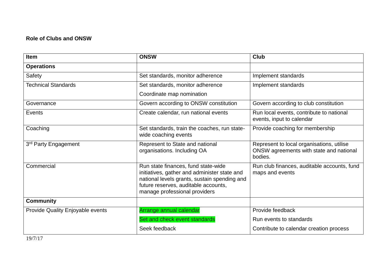#### **Role of Clubs and ONSW**

| Item                             | <b>ONSW</b>                                                                                                                                                                                                  | <b>Club</b>                                                                                     |
|----------------------------------|--------------------------------------------------------------------------------------------------------------------------------------------------------------------------------------------------------------|-------------------------------------------------------------------------------------------------|
| <b>Operations</b>                |                                                                                                                                                                                                              |                                                                                                 |
| Safety                           | Set standards, monitor adherence                                                                                                                                                                             | Implement standards                                                                             |
| <b>Technical Standards</b>       | Set standards, monitor adherence                                                                                                                                                                             | Implement standards                                                                             |
|                                  | Coordinate map nomination                                                                                                                                                                                    |                                                                                                 |
| Governance                       | Govern according to ONSW constitution                                                                                                                                                                        | Govern according to club constitution                                                           |
| Events                           | Create calendar, run national events                                                                                                                                                                         | Run local events, contribute to national<br>events, input to calendar                           |
| Coaching                         | Set standards, train the coaches, run state-<br>wide coaching events                                                                                                                                         | Provide coaching for membership                                                                 |
| 3rd Party Engagement             | Represent to State and national<br>organisations. Including OA                                                                                                                                               | Represent to local organisations, utilise<br>ONSW agreements with state and national<br>bodies. |
| Commercial                       | Run state finances, fund state-wide<br>initiatives, gather and administer state and<br>national levels grants, sustain spending and<br>future reserves, auditable accounts,<br>manage professional providers | Run club finances, auditable accounts, fund<br>maps and events                                  |
| <b>Community</b>                 |                                                                                                                                                                                                              |                                                                                                 |
| Provide Quality Enjoyable events | Arrange annual calendar                                                                                                                                                                                      | Provide feedback                                                                                |
|                                  | Set and check event standards                                                                                                                                                                                | Run events to standards                                                                         |
|                                  | Seek feedback                                                                                                                                                                                                | Contribute to calendar creation process                                                         |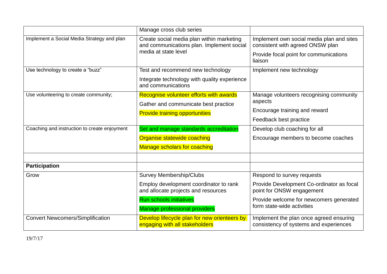|                                              | Manage cross club series                                                                                       |                                                                                   |
|----------------------------------------------|----------------------------------------------------------------------------------------------------------------|-----------------------------------------------------------------------------------|
| Implement a Social Media Strategy and plan   | Create social media plan within marketing<br>and communications plan. Implement social<br>media at state level | Implement own social media plan and sites<br>consistent with agreed ONSW plan     |
|                                              |                                                                                                                | Provide focal point for communications<br>liaison                                 |
| Use technology to create a "buzz"            | Test and recommend new technology                                                                              | Implement new technology                                                          |
|                                              | Integrate technology with quality experience<br>and communications                                             |                                                                                   |
| Use volunteering to create community;        | Recognise volunteer efforts with awards                                                                        | Manage volunteers recognising community                                           |
|                                              | Gather and communicate best practice                                                                           | aspects                                                                           |
|                                              | <b>Provide training opportunities</b>                                                                          | Encourage training and reward                                                     |
|                                              |                                                                                                                | Feedback best practice                                                            |
| Coaching and instruction to create enjoyment | Set and manage standards accreditation                                                                         | Develop club coaching for all                                                     |
|                                              | Organise statewide coaching                                                                                    | Encourage members to become coaches                                               |
|                                              | <b>Manage scholars for coaching</b>                                                                            |                                                                                   |
|                                              |                                                                                                                |                                                                                   |
| <b>Participation</b>                         |                                                                                                                |                                                                                   |
| Grow                                         | <b>Survey Membership/Clubs</b>                                                                                 | Respond to survey requests                                                        |
|                                              | Employ development coordinator to rank<br>and allocate projects and resources                                  | Provide Development Co-ordinator as focal<br>point for ONSW engagement            |
|                                              | <b>Run schools initiatives</b><br><b>Manage professional providers</b>                                         | Provide welcome for newcomers generated<br>form state-wide activities             |
| <b>Convert Newcomers/Simplification</b>      | Develop lifecycle plan for new orienteers by<br>engaging with all stakeholders                                 | Implement the plan once agreed ensuring<br>consistency of systems and experiences |